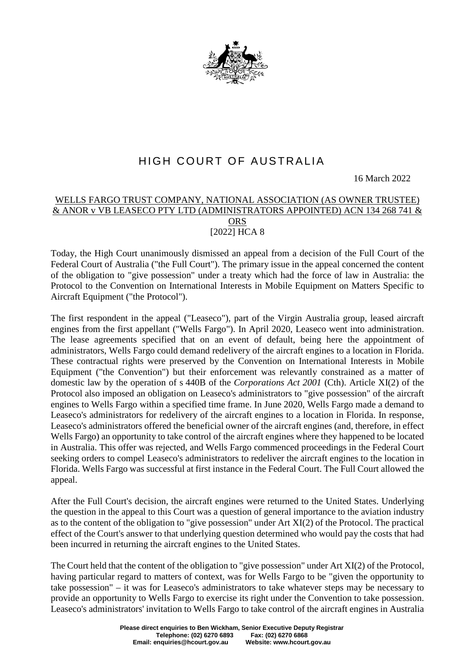

## HIGH COURT OF AUSTRALIA

16 March 2022

## WELLS FARGO TRUST COMPANY, NATIONAL ASSOCIATION (AS OWNER TRUSTEE) & ANOR v VB LEASECO PTY LTD (ADMINISTRATORS APPOINTED) ACN 134 268 741 & **ORS** [2022] HCA 8

Today, the High Court unanimously dismissed an appeal from a decision of the Full Court of the Federal Court of Australia ("the Full Court"). The primary issue in the appeal concerned the content of the obligation to "give possession" under a treaty which had the force of law in Australia: the Protocol to the Convention on International Interests in Mobile Equipment on Matters Specific to Aircraft Equipment ("the Protocol").

The first respondent in the appeal ("Leaseco"), part of the Virgin Australia group, leased aircraft engines from the first appellant ("Wells Fargo"). In April 2020, Leaseco went into administration. The lease agreements specified that on an event of default, being here the appointment of administrators, Wells Fargo could demand redelivery of the aircraft engines to a location in Florida. These contractual rights were preserved by the Convention on International Interests in Mobile Equipment ("the Convention") but their enforcement was relevantly constrained as a matter of domestic law by the operation of s 440B of the *Corporations Act 2001* (Cth). Article XI(2) of the Protocol also imposed an obligation on Leaseco's administrators to "give possession" of the aircraft engines to Wells Fargo within a specified time frame. In June 2020, Wells Fargo made a demand to Leaseco's administrators for redelivery of the aircraft engines to a location in Florida. In response, Leaseco's administrators offered the beneficial owner of the aircraft engines (and, therefore, in effect Wells Fargo) an opportunity to take control of the aircraft engines where they happened to be located in Australia. This offer was rejected, and Wells Fargo commenced proceedings in the Federal Court seeking orders to compel Leaseco's administrators to redeliver the aircraft engines to the location in Florida. Wells Fargo was successful at first instance in the Federal Court. The Full Court allowed the appeal.

After the Full Court's decision, the aircraft engines were returned to the United States. Underlying the question in the appeal to this Court was a question of general importance to the aviation industry as to the content of the obligation to "give possession" under Art XI(2) of the Protocol. The practical effect of the Court's answer to that underlying question determined who would pay the costs that had been incurred in returning the aircraft engines to the United States.

The Court held that the content of the obligation to "give possession" under Art XI(2) of the Protocol, having particular regard to matters of context, was for Wells Fargo to be "given the opportunity to take possession" – it was for Leaseco's administrators to take whatever steps may be necessary to provide an opportunity to Wells Fargo to exercise its right under the Convention to take possession. Leaseco's administrators' invitation to Wells Fargo to take control of the aircraft engines in Australia